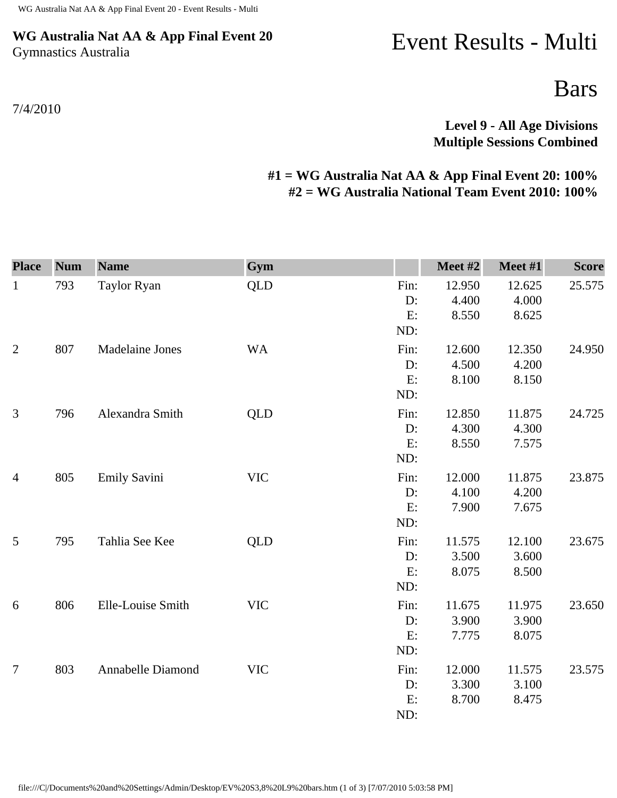## **WG Australia Nat AA & App Final Event 20** Gymnastics Australia

## Event Results - Multi

Bars

**Level 9 - All Age Divisions Multiple Sessions Combined** 

## **#1 = WG Australia Nat AA & App Final Event 20: 100% #2 = WG Australia National Team Event 2010: 100%**

| <b>Place</b>   | <b>Num</b> | <b>Name</b>            | Gym        |                            | Meet #2                  | Meet #1                  | <b>Score</b> |
|----------------|------------|------------------------|------------|----------------------------|--------------------------|--------------------------|--------------|
| $\mathbf{1}$   | 793        | Taylor Ryan            | <b>QLD</b> | Fin:<br>D:<br>E:<br>ND:    | 12.950<br>4.400<br>8.550 | 12.625<br>4.000<br>8.625 | 25.575       |
| $\overline{2}$ | 807        | <b>Madelaine Jones</b> | <b>WA</b>  | Fin:<br>$D$ :<br>E:<br>ND: | 12.600<br>4.500<br>8.100 | 12.350<br>4.200<br>8.150 | 24.950       |
| 3              | 796        | Alexandra Smith        | QLD        | Fin:<br>$D$ :<br>E:<br>ND: | 12.850<br>4.300<br>8.550 | 11.875<br>4.300<br>7.575 | 24.725       |
| $\overline{4}$ | 805        | <b>Emily Savini</b>    | <b>VIC</b> | Fin:<br>D:<br>E:<br>ND:    | 12.000<br>4.100<br>7.900 | 11.875<br>4.200<br>7.675 | 23.875       |
| 5              | 795        | Tahlia See Kee         | <b>QLD</b> | Fin:<br>D:<br>E:<br>ND:    | 11.575<br>3.500<br>8.075 | 12.100<br>3.600<br>8.500 | 23.675       |
| 6              | 806        | Elle-Louise Smith      | <b>VIC</b> | Fin:<br>D:<br>E:<br>ND:    | 11.675<br>3.900<br>7.775 | 11.975<br>3.900<br>8.075 | 23.650       |
| $\overline{7}$ | 803        | Annabelle Diamond      | <b>VIC</b> | Fin:<br>D:<br>E:<br>ND:    | 12.000<br>3.300<br>8.700 | 11.575<br>3.100<br>8.475 | 23.575       |

file:///C|/Documents%20and%20Settings/Admin/Desktop/EV%20S3,8%20L9%20bars.htm (1 of 3) [7/07/2010 5:03:58 PM]

7/4/2010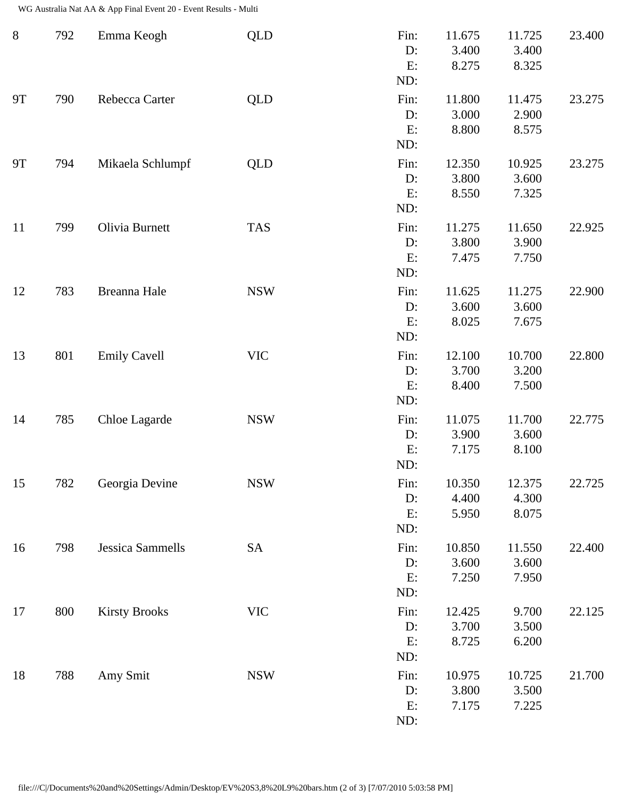WG Australia Nat AA & App Final Event 20 - Event Results - Multi

| $8\phantom{1}$ | 792 | Emma Keogh           | <b>QLD</b> | Fin:<br>D:<br>E:<br>ND:    | 11.675<br>3.400<br>8.275 | 11.725<br>3.400<br>8.325 | 23.400 |
|----------------|-----|----------------------|------------|----------------------------|--------------------------|--------------------------|--------|
| <b>9T</b>      | 790 | Rebecca Carter       | <b>QLD</b> | Fin:<br>D:<br>E:<br>ND:    | 11.800<br>3.000<br>8.800 | 11.475<br>2.900<br>8.575 | 23.275 |
| <b>9T</b>      | 794 | Mikaela Schlumpf     | <b>QLD</b> | Fin:<br>D:<br>E:<br>ND:    | 12.350<br>3.800<br>8.550 | 10.925<br>3.600<br>7.325 | 23.275 |
| 11             | 799 | Olivia Burnett       | <b>TAS</b> | Fin:<br>D:<br>E:<br>ND:    | 11.275<br>3.800<br>7.475 | 11.650<br>3.900<br>7.750 | 22.925 |
| 12             | 783 | Breanna Hale         | <b>NSW</b> | Fin:<br>D:<br>E:<br>ND:    | 11.625<br>3.600<br>8.025 | 11.275<br>3.600<br>7.675 | 22.900 |
| 13             | 801 | <b>Emily Cavell</b>  | <b>VIC</b> | Fin:<br>D:<br>E:<br>ND:    | 12.100<br>3.700<br>8.400 | 10.700<br>3.200<br>7.500 | 22.800 |
| 14             | 785 | Chloe Lagarde        | <b>NSW</b> | Fin:<br>D:<br>E:<br>ND:    | 11.075<br>3.900<br>7.175 | 11.700<br>3.600<br>8.100 | 22.775 |
| 15             | 782 | Georgia Devine       | <b>NSW</b> | Fin:<br>D:<br>E:<br>ND:    | 10.350<br>4.400<br>5.950 | 12.375<br>4.300<br>8.075 | 22.725 |
| 16             | 798 | Jessica Sammells     | SA         | Fin:<br>$D$ :<br>E:<br>ND: | 10.850<br>3.600<br>7.250 | 11.550<br>3.600<br>7.950 | 22.400 |
| 17             | 800 | <b>Kirsty Brooks</b> | <b>VIC</b> | Fin:<br>D:<br>E:<br>ND:    | 12.425<br>3.700<br>8.725 | 9.700<br>3.500<br>6.200  | 22.125 |
| 18             | 788 | Amy Smit             | <b>NSW</b> | Fin:<br>D:<br>E:<br>ND:    | 10.975<br>3.800<br>7.175 | 10.725<br>3.500<br>7.225 | 21.700 |